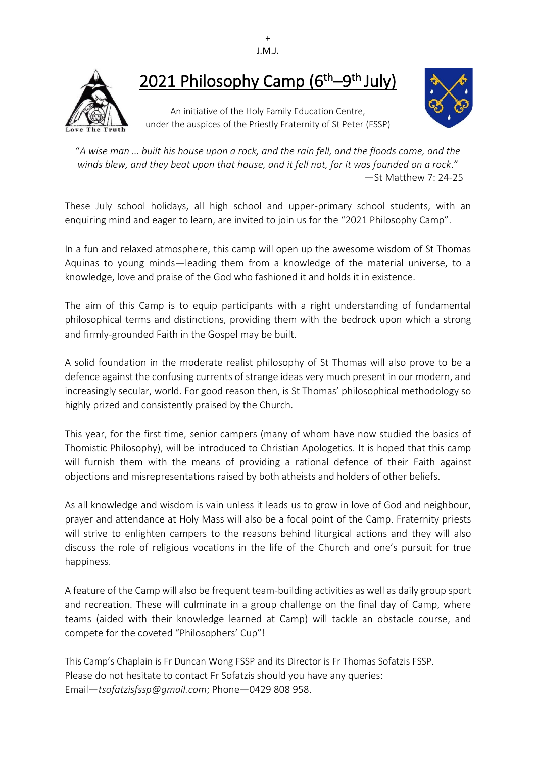



# 2021 Philosophy Camp (6<sup>th</sup>–9<sup>th</sup> July)

An initiative of the Holy Family Education Centre, under the auspices of the Priestly Fraternity of St Peter (FSSP)



"A wise man ... built his house upon a rock, and the rain fell, and the floods came, and the *winds blew, and they beat upon that house, and it fell not, for it was founded on a rock*." —St Matthew 7: 24-25

These July school holidays, all high school and upper-primary school students, with an enquiring mind and eager to learn, are invited to join us for the "2021 Philosophy Camp".

In a fun and relaxed atmosphere, this camp will open up the awesome wisdom of St Thomas Aquinas to young minds—leading them from a knowledge of the material universe, to a knowledge, love and praise of the God who fashioned it and holds it in existence.

The aim of this Camp is to equip participants with a right understanding of fundamental philosophical terms and distinctions, providing them with the bedrock upon which a strong and firmly-grounded Faith in the Gospel may be built.

A solid foundation in the moderate realist philosophy of St Thomas will also prove to be a defence against the confusing currents of strange ideas very much present in our modern, and increasingly secular, world. For good reason then, is St Thomas' philosophical methodology so highly prized and consistently praised by the Church.

This year, for the first time, senior campers (many of whom have now studied the basics of Thomistic Philosophy), will be introduced to Christian Apologetics. It is hoped that this camp will furnish them with the means of providing a rational defence of their Faith against objections and misrepresentations raised by both atheists and holders of other beliefs.

As all knowledge and wisdom is vain unless it leads us to grow in love of God and neighbour, prayer and attendance at Holy Mass will also be a focal point of the Camp. Fraternity priests will strive to enlighten campers to the reasons behind liturgical actions and they will also discuss the role of religious vocations in the life of the Church and one's pursuit for true happiness.

A feature of the Camp will also be frequent team-building activities as well as daily group sport and recreation. These will culminate in a group challenge on the final day of Camp, where teams (aided with their knowledge learned at Camp) will tackle an obstacle course, and compete for the coveted "Philosophers' Cup"!

This Camp's Chaplain is Fr Duncan Wong FSSP and its Director is Fr Thomas Sofatzis FSSP. Please do not hesitate to contact Fr Sofatzis should you have any queries: Email—*tsofatzisfssp@gmail.com*; Phone—0429 808 958.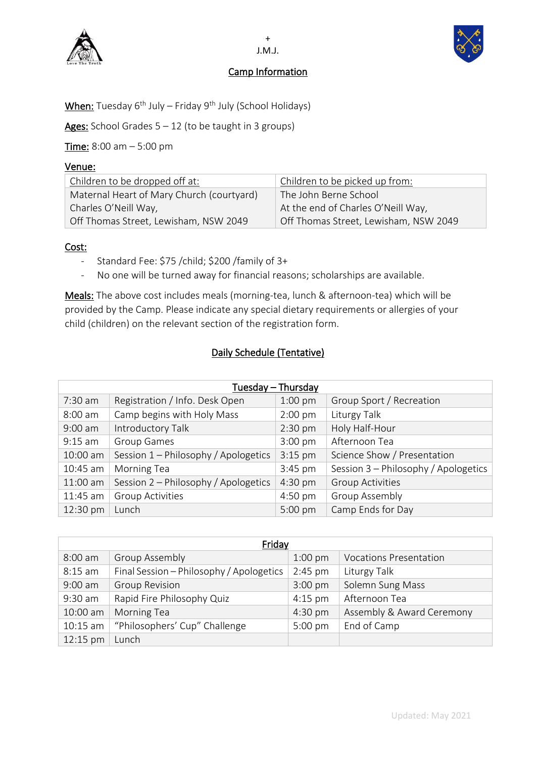

### Camp Information



When: Tuesday 6 th July – Friday 9 th July (School Holidays)

Ages: School Grades  $5 - 12$  (to be taught in 3 groups)

Time: 8:00 am - 5:00 pm

### Venue:

| Children to be dropped off at:            | Children to be picked up from:        |
|-------------------------------------------|---------------------------------------|
| Maternal Heart of Mary Church (courtyard) | The John Berne School                 |
| Charles O'Neill Way,                      | At the end of Charles O'Neill Way,    |
| Off Thomas Street, Lewisham, NSW 2049     | Off Thomas Street, Lewisham, NSW 2049 |

### Cost:

- Standard Fee: \$75 /child; \$200 /family of 3+
- No one will be turned away for financial reasons; scholarships are available.

Meals: The above cost includes meals (morning-tea, lunch & afternoon-tea) which will be provided by the Camp. Please indicate any special dietary requirements or allergies of your child (children) on the relevant section of the registration form.

## Daily Schedule (Tentative)

| Tuesday - Thursday |                                      |           |                                      |
|--------------------|--------------------------------------|-----------|--------------------------------------|
| $7:30$ am          | Registration / Info. Desk Open       | $1:00$ pm | Group Sport / Recreation             |
| $8:00$ am          | Camp begins with Holy Mass           | $2:00$ pm | Liturgy Talk                         |
| $9:00$ am          | Introductory Talk                    | $2:30$ pm | Holy Half-Hour                       |
| $9:15$ am          | Group Games                          | $3:00$ pm | Afternoon Tea                        |
| 10:00 am           | Session 1 - Philosophy / Apologetics | $3:15$ pm | Science Show / Presentation          |
| 10:45 am           | <b>Morning Tea</b>                   | 3:45 pm   | Session 3 - Philosophy / Apologetics |
| 11:00 am           | Session 2 - Philosophy / Apologetics | 4:30 pm   | <b>Group Activities</b>              |
| 11:45 am           | <b>Group Activities</b>              | $4:50$ pm | Group Assembly                       |
| 12:30 pm           | Lunch                                | 5:00 pm   | Camp Ends for Day                    |

| Friday     |                                          |           |                               |
|------------|------------------------------------------|-----------|-------------------------------|
| 8:00 am    | <b>Group Assembly</b>                    | $1:00$ pm | <b>Vocations Presentation</b> |
| $8:15$ am  | Final Session - Philosophy / Apologetics | $2:45$ pm | Liturgy Talk                  |
| $9:00$ am  | <b>Group Revision</b>                    | $3:00$ pm | Solemn Sung Mass              |
| 9:30 am    | Rapid Fire Philosophy Quiz               | $4:15$ pm | Afternoon Tea                 |
| 10:00 am   | Morning Tea                              | 4:30 pm   | Assembly & Award Ceremony     |
| $10:15$ am | "Philosophers' Cup" Challenge            | $5:00$ pm | End of Camp                   |
| 12:15 pm   | Lunch                                    |           |                               |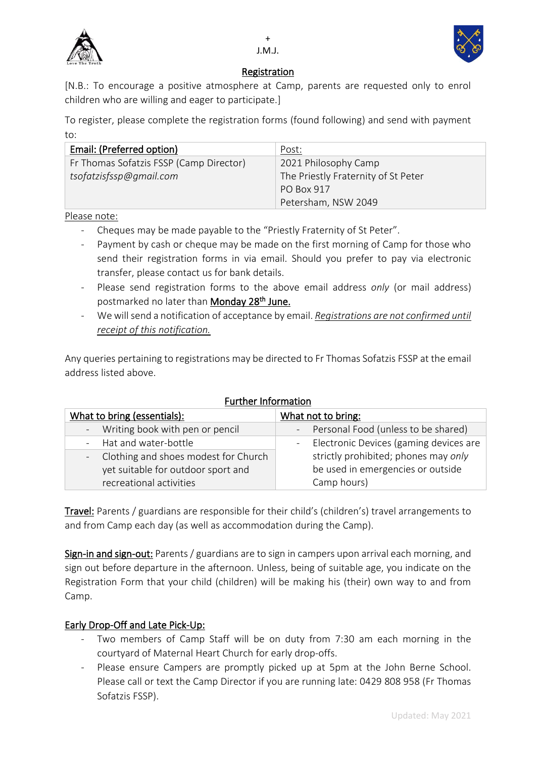



### Registration

[N.B.: To encourage a positive atmosphere at Camp, parents are requested only to enrol children who are willing and eager to participate.]

To register, please complete the registration forms (found following) and send with payment to:

| Email: (Preferred option)               | Post:                               |
|-----------------------------------------|-------------------------------------|
| Fr Thomas Sofatzis FSSP (Camp Director) | 2021 Philosophy Camp                |
| tsofatzisfssp@gmail.com                 | The Priestly Fraternity of St Peter |
|                                         | PO Box 917                          |
|                                         | Petersham, NSW 2049                 |

Please note:

- Cheques may be made payable to the "Priestly Fraternity of St Peter".
- Payment by cash or cheque may be made on the first morning of Camp for those who send their registration forms in via email. Should you prefer to pay via electronic transfer, please contact us for bank details.
- Please send registration forms to the above email address *only* (or mail address) postmarked no later than **Monday 28<sup>th</sup> June.**
- We will send a notification of acceptance by email. *Registrations are not confirmed until receipt of this notification.*

Any queries pertaining to registrations may be directed to Fr Thomas Sofatzis FSSP at the email address listed above.

| unuler information                     |                                          |  |
|----------------------------------------|------------------------------------------|--|
| What to bring (essentials):            | What not to bring:                       |  |
| - Writing book with pen or pencil      | - Personal Food (unless to be shared)    |  |
| - Hat and water-bottle                 | - Electronic Devices (gaming devices are |  |
| - Clothing and shoes modest for Church | strictly prohibited; phones may only     |  |
| yet suitable for outdoor sport and     | be used in emergencies or outside        |  |
| recreational activities                | Camp hours)                              |  |

### Further Information

Travel: Parents / guardians are responsible for their child's (children's) travel arrangements to and from Camp each day (as well as accommodation during the Camp).

Sign-in and sign-out: Parents / guardians are to sign in campers upon arrival each morning, and sign out before departure in the afternoon. Unless, being of suitable age, you indicate on the Registration Form that your child (children) will be making his (their) own way to and from Camp.

## Early Drop-Off and Late Pick-Up:

- Two members of Camp Staff will be on duty from 7:30 am each morning in the courtyard of Maternal Heart Church for early drop-offs.
- Please ensure Campers are promptly picked up at 5pm at the John Berne School. Please call or text the Camp Director if you are running late: 0429 808 958 (Fr Thomas Sofatzis FSSP).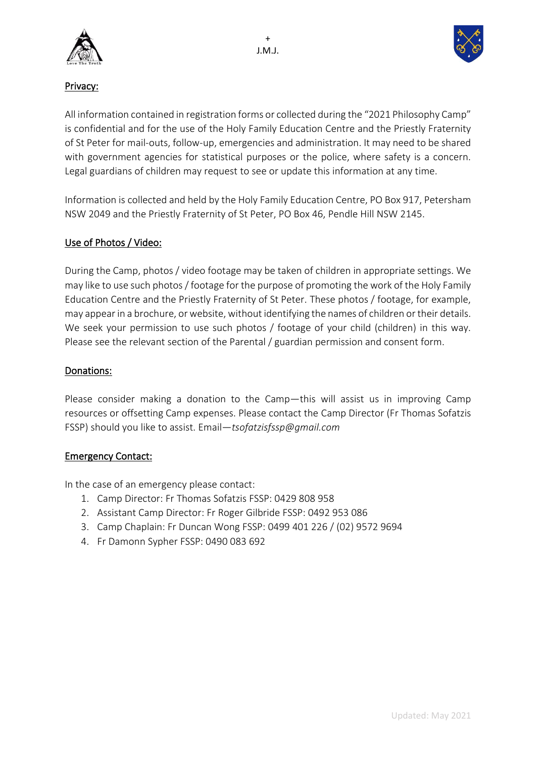



## Privacy:

All information contained in registration forms or collected during the "2021 Philosophy Camp" is confidential and for the use of the Holy Family Education Centre and the Priestly Fraternity of St Peter for mail-outs, follow-up, emergencies and administration. It may need to be shared with government agencies for statistical purposes or the police, where safety is a concern. Legal guardians of children may request to see or update this information at any time.

Information is collected and held by the Holy Family Education Centre, PO Box 917, Petersham NSW 2049 and the Priestly Fraternity of St Peter, PO Box 46, Pendle Hill NSW 2145.

## Use of Photos / Video:

During the Camp, photos / video footage may be taken of children in appropriate settings. We may like to use such photos / footage for the purpose of promoting the work of the Holy Family Education Centre and the Priestly Fraternity of St Peter. These photos / footage, for example, may appear in a brochure, or website, without identifying the names of children or their details. We seek your permission to use such photos / footage of your child (children) in this way. Please see the relevant section of the Parental / guardian permission and consent form.

### Donations:

Please consider making a donation to the Camp―this will assist us in improving Camp resources or offsetting Camp expenses. Please contact the Camp Director (Fr Thomas Sofatzis FSSP) should you like to assist. Email―*tsofatzisfssp@gmail.com*

### Emergency Contact:

In the case of an emergency please contact:

- 1. Camp Director: Fr Thomas Sofatzis FSSP: 0429 808 958
- 2. Assistant Camp Director: Fr Roger Gilbride FSSP: 0492 953 086
- 3. Camp Chaplain: Fr Duncan Wong FSSP: 0499 401 226 / (02) 9572 9694
- 4. Fr Damonn Sypher FSSP: 0490 083 692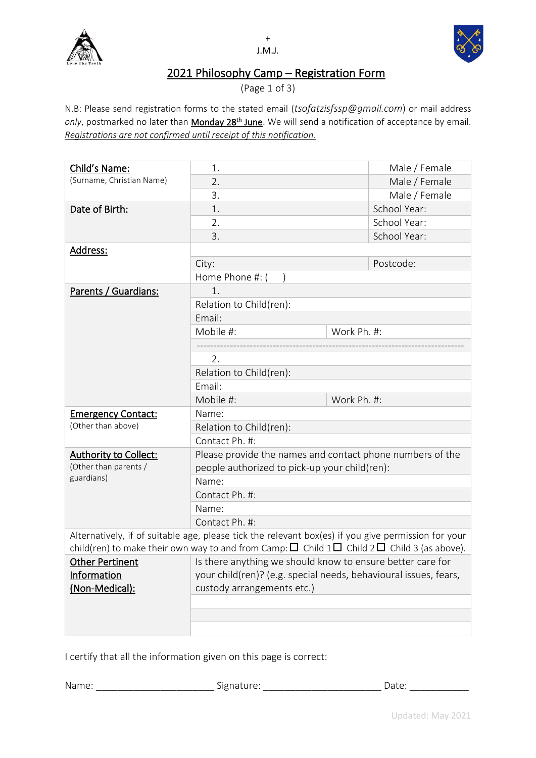



## 2021 Philosophy Camp – Registration Form

(Page 1 of 3)

N.B: Please send registration forms to the stated email (*tsofatzisfssp@gmail.com*) or mail address only, postmarked no later than Monday 28<sup>th</sup> June</u>. We will send a notification of acceptance by email. *Registrations are not confirmed until receipt of this notification.*

| Child's Name:             | 1.                                                                                                                                                                                                                 |             | Male / Female |
|---------------------------|--------------------------------------------------------------------------------------------------------------------------------------------------------------------------------------------------------------------|-------------|---------------|
| (Surname, Christian Name) | 2.                                                                                                                                                                                                                 |             | Male / Female |
|                           | 3.                                                                                                                                                                                                                 |             | Male / Female |
| Date of Birth:            | 1.                                                                                                                                                                                                                 |             | School Year:  |
|                           | 2.                                                                                                                                                                                                                 |             | School Year:  |
|                           | 3.                                                                                                                                                                                                                 |             | School Year:  |
| Address:                  |                                                                                                                                                                                                                    |             |               |
|                           | City:                                                                                                                                                                                                              |             | Postcode:     |
|                           | Home Phone #: (                                                                                                                                                                                                    |             |               |
| Parents / Guardians:      | 1.                                                                                                                                                                                                                 |             |               |
|                           | Relation to Child(ren):                                                                                                                                                                                            |             |               |
|                           | Email:                                                                                                                                                                                                             |             |               |
|                           | Mobile #:                                                                                                                                                                                                          | Work Ph. #: |               |
|                           |                                                                                                                                                                                                                    |             |               |
|                           | 2.                                                                                                                                                                                                                 |             |               |
|                           | Relation to Child(ren):                                                                                                                                                                                            |             |               |
|                           | Email:                                                                                                                                                                                                             |             |               |
|                           | Mobile #:                                                                                                                                                                                                          | Work Ph. #: |               |
| <b>Emergency Contact:</b> | Name:                                                                                                                                                                                                              |             |               |
| (Other than above)        | Relation to Child(ren):                                                                                                                                                                                            |             |               |
|                           | Contact Ph. #:                                                                                                                                                                                                     |             |               |
| Authority to Collect:     | Please provide the names and contact phone numbers of the                                                                                                                                                          |             |               |
| (Other than parents /     | people authorized to pick-up your child(ren):                                                                                                                                                                      |             |               |
| guardians)                | Name:                                                                                                                                                                                                              |             |               |
| Contact Ph. #:            |                                                                                                                                                                                                                    |             |               |
|                           | Name:                                                                                                                                                                                                              |             |               |
|                           | Contact Ph. #:                                                                                                                                                                                                     |             |               |
|                           | Alternatively, if of suitable age, please tick the relevant box(es) if you give permission for your<br>child(ren) to make their own way to and from Camp: $\Box$ Child 1 $\Box$ Child 2 $\Box$ Child 3 (as above). |             |               |
| Other Pertinent           | Is there anything we should know to ensure better care for                                                                                                                                                         |             |               |
| <b>Information</b>        | your child(ren)? (e.g. special needs, behavioural issues, fears,                                                                                                                                                   |             |               |
| (Non-Medical):            | custody arrangements etc.)                                                                                                                                                                                         |             |               |
|                           |                                                                                                                                                                                                                    |             |               |
|                           |                                                                                                                                                                                                                    |             |               |
|                           |                                                                                                                                                                                                                    |             |               |
|                           |                                                                                                                                                                                                                    |             |               |

I certify that all the information given on this page is correct:

Name: \_\_\_\_\_\_\_\_\_\_\_\_\_\_\_\_\_\_\_\_\_\_\_\_\_\_\_\_\_\_\_\_Signature: \_\_\_\_\_\_\_\_\_\_\_\_\_\_\_\_\_\_\_\_\_\_\_\_\_\_\_\_\_\_\_\_Date: \_\_\_\_\_\_\_\_\_\_\_\_\_\_\_\_\_\_\_\_\_\_\_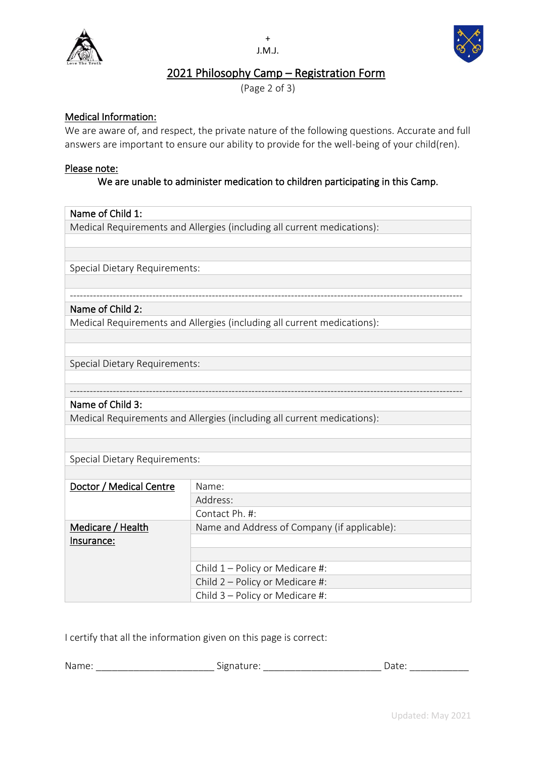



## 2021 Philosophy Camp – Registration Form

(Page 2 of 3)

### Medical Information:

We are aware of, and respect, the private nature of the following questions. Accurate and full answers are important to ensure our ability to provide for the well-being of your child(ren).

### Please note:

### We are unable to administer medication to children participating in this Camp.

### Name of Child 1:

Medical Requirements and Allergies (including all current medications):

Special Dietary Requirements:

#### ----------------------------------------------------------------------------------------------------------------------- Name of Child 2:

Medical Requirements and Allergies (including all current medications):

Special Dietary Requirements:

### Name of Child 3:

Medical Requirements and Allergies (including all current medications):

Special Dietary Requirements:

| Doctor / Medical Centre | Name:                                        |
|-------------------------|----------------------------------------------|
|                         | Address:                                     |
|                         | Contact Ph. #:                               |
| Medicare / Health       | Name and Address of Company (if applicable): |
| Insurance:              |                                              |
|                         |                                              |
|                         | Child $1$ – Policy or Medicare #:            |
|                         | Child 2 - Policy or Medicare #:              |
|                         | Child 3 - Policy or Medicare #:              |

-----------------------------------------------------------------------------------------------------------------------

I certify that all the information given on this page is correct:

| Nam<br>$\sim$ | $\sim$<br>$\sim$ $\sim$ $\sim$<br>$\overline{\phantom{a}}$<br>$\cdot$<br>.<br>-<br>- | $\overline{ }$<br>$-1$ |
|---------------|--------------------------------------------------------------------------------------|------------------------|
|               |                                                                                      |                        |